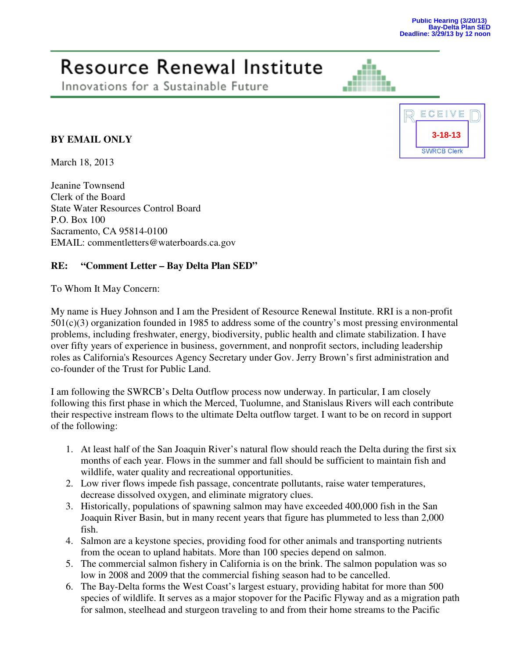## Resource Renewal Institute

Innovations for a Sustainable Future

## **BY EMAIL ONLY**

March 18, 2013

Jeanine Townsend Clerk of the Board State Water Resources Control Board P.O. Box 100 Sacramento, CA 95814-0100 EMAIL: commentletters@waterboards.ca.gov

## **RE: "Comment Letter – Bay Delta Plan SED"**

To Whom It May Concern:

My name is Huey Johnson and I am the President of Resource Renewal Institute. RRI is a non-profit 501(c)(3) organization founded in 1985 to address some of the country's most pressing environmental problems, including freshwater, energy, biodiversity, public health and climate stabilization. I have over fifty years of experience in business, government, and nonprofit sectors, including leadership roles as California's Resources Agency Secretary under Gov. Jerry Brown's first administration and co-founder of the Trust for Public Land.

I am following the SWRCB's Delta Outflow process now underway. In particular, I am closely following this first phase in which the Merced, Tuolumne, and Stanislaus Rivers will each contribute their respective instream flows to the ultimate Delta outflow target. I want to be on record in support of the following:

- 1. At least half of the San Joaquin River's natural flow should reach the Delta during the first six months of each year. Flows in the summer and fall should be sufficient to maintain fish and wildlife, water quality and recreational opportunities.
- 2. Low river flows impede fish passage, concentrate pollutants, raise water temperatures, decrease dissolved oxygen, and eliminate migratory clues.
- 3. Historically, populations of spawning salmon may have exceeded 400,000 fish in the San Joaquin River Basin, but in many recent years that figure has plummeted to less than 2,000 fish.
- 4. Salmon are a keystone species, providing food for other animals and transporting nutrients from the ocean to upland habitats. More than 100 species depend on salmon.
- 5. The commercial salmon fishery in California is on the brink. The salmon population was so low in 2008 and 2009 that the commercial fishing season had to be cancelled.
- 6. The Bay-Delta forms the West Coast's largest estuary, providing habitat for more than 500 species of wildlife. It serves as a major stopover for the Pacific Flyway and as a migration path for salmon, steelhead and sturgeon traveling to and from their home streams to the Pacific